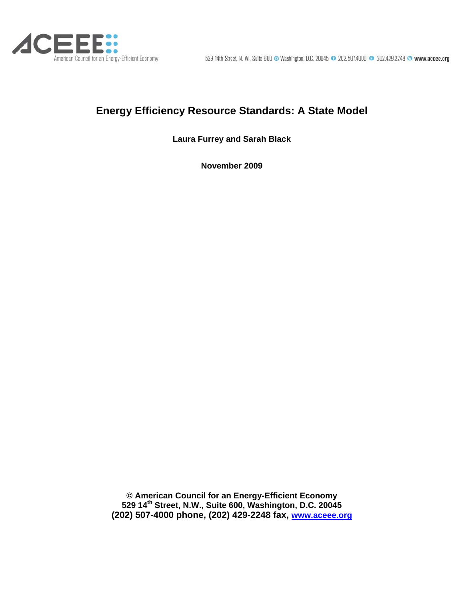

# **Energy Efficiency Resource Standards: A State Model**

**Laura Furrey and Sarah Black** 

**November 2009** 

**© American Council for an Energy-Efficient Economy 529 14th Street, N.W., Suite 600, Washington, D.C. 20045 (202) 507-4000 phone, (202) 429-2248 fax, [www.aceee.org](http://aceee.org/)**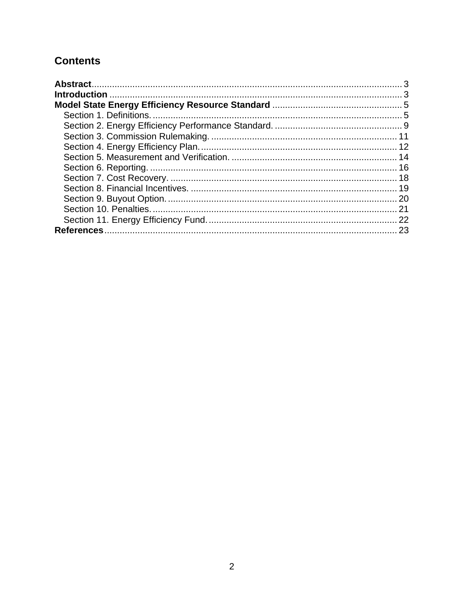# **Contents**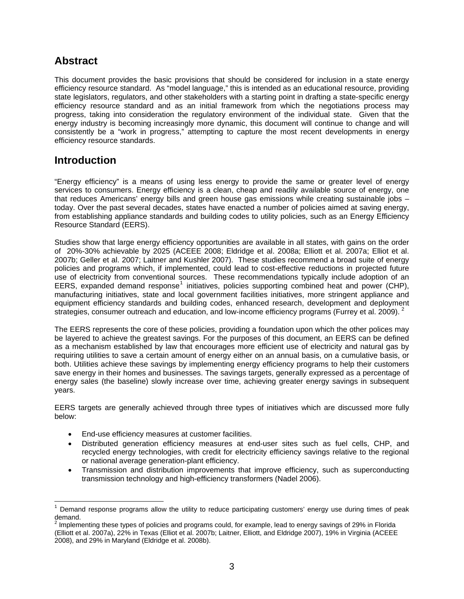## <span id="page-2-0"></span>**Abstract**

This document provides the basic provisions that should be considered for inclusion in a state energy efficiency resource standard. As "model language," this is intended as an educational resource, providing state legislators, regulators, and other stakeholders with a starting point in drafting a state-specific energy efficiency resource standard and as an initial framework from which the negotiations process may progress, taking into consideration the regulatory environment of the individual state. Given that the energy industry is becoming increasingly more dynamic, this document will continue to change and will consistently be a "work in progress," attempting to capture the most recent developments in energy efficiency resource standards.

## **Introduction**

 $\overline{a}$ 

"Energy efficiency" is a means of using less energy to provide the same or greater level of energy services to consumers. Energy efficiency is a clean, cheap and readily available source of energy, one that reduces Americans' energy bills and green house gas emissions while creating sustainable jobs – today. Over the past several decades, states have enacted a number of policies aimed at saving energy, from establishing appliance standards and building codes to utility policies, such as an Energy Efficiency Resource Standard (EERS).

Studies show that large energy efficiency opportunities are available in all states, with gains on the order of 20%-30% achievable by 2025 (ACEEE 2008; Eldridge et al. 2008a; Elliott et al. 2007a; Elliot et al. 2007b; Geller et al. 2007; Laitner and Kushler 2007). These studies recommend a broad suite of energy policies and programs which, if implemented, could lead to cost-effective reductions in projected future use of electricity from conventional sources. These recommendations typically include adoption of an EERS, expanded demand response<sup>[1](#page-2-1)</sup> initiatives, policies supporting combined heat and power (CHP), manufacturing initiatives, state and local government facilities initiatives, more stringent appliance and equipment efficiency standards and building codes, enhanced research, development and deployment strategies, consumer outreach and education, and low-income efficiency programs (Furrey et al. [2](#page-2-2)009). <sup>2</sup>

The EERS represents the core of these policies, providing a foundation upon which the other polices may be layered to achieve the greatest savings. For the purposes of this document, an EERS can be defined as a mechanism established by law that encourages more efficient use of electricity and natural gas by requiring utilities to save a certain amount of energy either on an annual basis, on a cumulative basis, or both. Utilities achieve these savings by implementing energy efficiency programs to help their customers save energy in their homes and businesses. The savings targets, generally expressed as a percentage of energy sales (the baseline) slowly increase over time, achieving greater energy savings in subsequent years.

EERS targets are generally achieved through three types of initiatives which are discussed more fully below:

- End-use efficiency measures at customer facilities.
- Distributed generation efficiency measures at end-user sites such as fuel cells, CHP, and recycled energy technologies, with credit for electricity efficiency savings relative to the regional or national average generation-plant efficiency.
- Transmission and distribution improvements that improve efficiency, such as superconducting transmission technology and high-efficiency transformers (Nadel 2006).

<span id="page-2-1"></span><sup>1</sup> Demand response programs allow the utility to reduce participating customers' energy use during times of peak demand.

<span id="page-2-2"></span> $^2$  Implementing these types of policies and programs could, for example, lead to energy savings of 29% in Florida (Elliott et al. 2007a), 22% in Texas (Elliot et al. 2007b; Laitner, Elliott, and Eldridge 2007), 19% in Virginia (ACEEE 2008), and 29% in Maryland (Eldridge et al. 2008b).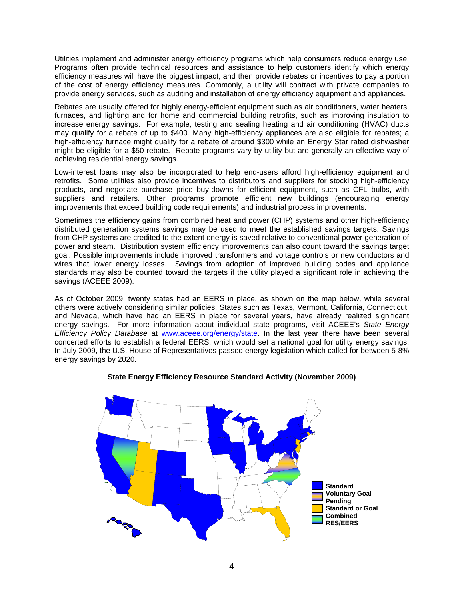Utilities implement and administer energy efficiency programs which help consumers reduce energy use. Programs often provide technical resources and assistance to help customers identify which energy efficiency measures will have the biggest impact, and then provide rebates or incentives to pay a portion of the cost of energy efficiency measures. Commonly, a utility will contract with private companies to provide energy services, such as auditing and installation of energy efficiency equipment and appliances.

Rebates are usually offered for highly energy-efficient equipment such as air conditioners, water heaters, furnaces, and lighting and for home and commercial building retrofits, such as improving insulation to increase energy savings. For example, testing and sealing heating and air conditioning (HVAC) ducts may qualify for a rebate of up to \$400. Many high-efficiency appliances are also eligible for rebates; a high-efficiency furnace might qualify for a rebate of around \$300 while an Energy Star rated dishwasher might be eligible for a \$50 rebate. Rebate programs vary by utility but are generally an effective way of achieving residential energy savings.

Low-interest loans may also be incorporated to help end-users afford high-efficiency equipment and retrofits. Some utilities also provide incentives to distributors and suppliers for stocking high-efficiency products, and negotiate purchase price buy-downs for efficient equipment, such as CFL bulbs, with suppliers and retailers. Other programs promote efficient new buildings (encouraging energy improvements that exceed building code requirements) and industrial process improvements.

Sometimes the efficiency gains from combined heat and power (CHP) systems and other high-efficiency distributed generation systems savings may be used to meet the established savings targets. Savings from CHP systems are credited to the extent energy is saved relative to conventional power generation of power and steam. Distribution system efficiency improvements can also count toward the savings target goal. Possible improvements include improved transformers and voltage controls or new conductors and wires that lower energy losses. Savings from adoption of improved building codes and appliance standards may also be counted toward the targets if the utility played a significant role in achieving the savings (ACEEE 2009).

As of October 2009, twenty states had an EERS in place, as shown on the map below, while several others were actively considering similar policies. States such as Texas, Vermont, California, Connecticut, and Nevada, which have had an EERS in place for several years, have already realized significant energy savings. For more information about individual state programs, visit ACEEE's *State Energy Efficiency Policy Database* at [www.aceee.org/energy/state.](http://www.aceee.org/energy/state/index.htm) In the last year there have been several concerted efforts to establish a federal EERS, which would set a national goal for utility energy savings. In July 2009, the U.S. House of Representatives passed energy legislation which called for between 5-8% energy savings by 2020.



### **State Energy Efficiency Resource Standard Activity (November 2009)**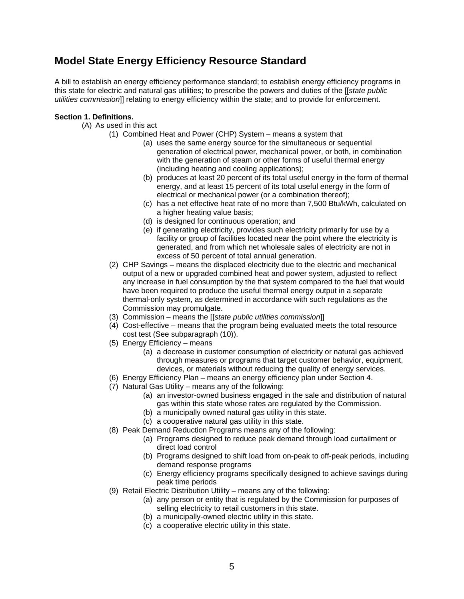## <span id="page-4-0"></span>**Model State Energy Efficiency Resource Standard**

A bill to establish an energy efficiency performance standard; to establish energy efficiency programs in this state for electric and natural gas utilities; to prescribe the powers and duties of the [[*state public utilities commission*]] relating to energy efficiency within the state; and to provide for enforcement.

#### **Section 1. Definitions.**

- (A) As used in this act
	- (1) Combined Heat and Power (CHP) System means a system that
		- (a) uses the same energy source for the simultaneous or sequential generation of electrical power, mechanical power, or both, in combination with the generation of steam or other forms of useful thermal energy (including heating and cooling applications);
		- (b) produces at least 20 percent of its total useful energy in the form of thermal energy, and at least 15 percent of its total useful energy in the form of electrical or mechanical power (or a combination thereof);
		- (c) has a net effective heat rate of no more than 7,500 Btu/kWh, calculated on a higher heating value basis;
		- (d) is designed for continuous operation; and
		- (e) if generating electricity, provides such electricity primarily for use by a facility or group of facilities located near the point where the electricity is generated, and from which net wholesale sales of electricity are not in excess of 50 percent of total annual generation.
	- (2) CHP Savings means the displaced electricity due to the electric and mechanical output of a new or upgraded combined heat and power system, adjusted to reflect any increase in fuel consumption by the that system compared to the fuel that would have been required to produce the useful thermal energy output in a separate thermal-only system, as determined in accordance with such regulations as the Commission may promulgate.
	- (3) Commission means the [[*state public utilities commission*]]
	- (4) Cost-effective means that the program being evaluated meets the total resource cost test (See subparagraph (10)).
	- (5) Energy Efficiency means
		- (a) a decrease in customer consumption of electricity or natural gas achieved through measures or programs that target customer behavior, equipment, devices, or materials without reducing the quality of energy services.
	- (6) Energy Efficiency Plan means an energy efficiency plan under Section 4.
	- (7) Natural Gas Utility means any of the following:
		- (a) an investor-owned business engaged in the sale and distribution of natural gas within this state whose rates are regulated by the Commission.
		- (b) a municipally owned natural gas utility in this state.
		- (c) a cooperative natural gas utility in this state.
	- (8) Peak Demand Reduction Programs means any of the following:
		- (a) Programs designed to reduce peak demand through load curtailment or direct load control
		- (b) Programs designed to shift load from on-peak to off-peak periods, including demand response programs
		- (c) Energy efficiency programs specifically designed to achieve savings during peak time periods
	- (9) Retail Electric Distribution Utility means any of the following:
		- (a) any person or entity that is regulated by the Commission for purposes of selling electricity to retail customers in this state.
		- (b) a municipally-owned electric utility in this state.
		- (c) a cooperative electric utility in this state.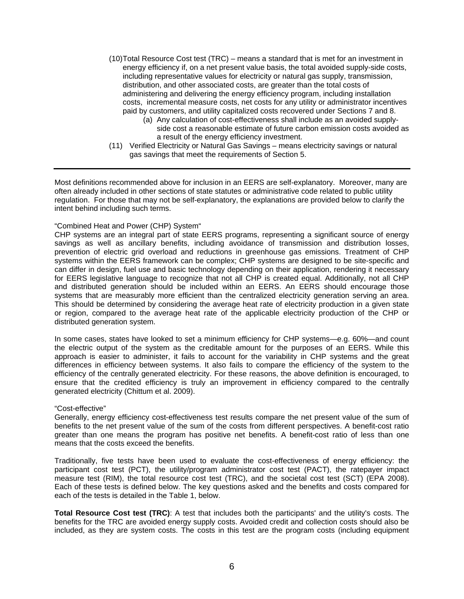- (10)Total Resource Cost test (TRC) means a standard that is met for an investment in energy efficiency if, on a net present value basis, the total avoided supply-side costs, including representative values for electricity or natural gas supply, transmission, distribution, and other associated costs, are greater than the total costs of administering and delivering the energy efficiency program, including installation costs, incremental measure costs, net costs for any utility or administrator incentives paid by customers, and utility capitalized costs recovered under Sections 7 and 8.
	- (a) Any calculation of cost-effectiveness shall include as an avoided supplyside cost a reasonable estimate of future carbon emission costs avoided as a result of the energy efficiency investment.
- (11) Verified Electricity or Natural Gas Savings means electricity savings or natural gas savings that meet the requirements of Section 5.

Most definitions recommended above for inclusion in an EERS are self-explanatory. Moreover, many are often already included in other sections of state statutes or administrative code related to public utility regulation. For those that may not be self-explanatory, the explanations are provided below to clarify the intent behind including such terms.

#### "Combined Heat and Power (CHP) System"

CHP systems are an integral part of state EERS programs, representing a significant source of energy savings as well as ancillary benefits, including avoidance of transmission and distribution losses, prevention of electric grid overload and reductions in greenhouse gas emissions. Treatment of CHP systems within the EERS framework can be complex; CHP systems are designed to be site-specific and can differ in design, fuel use and basic technology depending on their application, rendering it necessary for EERS legislative language to recognize that not all CHP is created equal. Additionally, not all CHP and distributed generation should be included within an EERS. An EERS should encourage those systems that are measurably more efficient than the centralized electricity generation serving an area. This should be determined by considering the average heat rate of electricity production in a given state or region, compared to the average heat rate of the applicable electricity production of the CHP or distributed generation system.

In some cases, states have looked to set a minimum efficiency for CHP systems—e.g. 60%—and count the electric output of the system as the creditable amount for the purposes of an EERS. While this approach is easier to administer, it fails to account for the variability in CHP systems and the great differences in efficiency between systems. It also fails to compare the efficiency of the system to the efficiency of the centrally generated electricity. For these reasons, the above definition is encouraged, to ensure that the credited efficiency is truly an improvement in efficiency compared to the centrally generated electricity (Chittum et al. 2009).

#### "Cost-effective"

Generally, energy efficiency cost-effectiveness test results compare the net present value of the sum of benefits to the net present value of the sum of the costs from different perspectives. A benefit-cost ratio greater than one means the program has positive net benefits. A benefit-cost ratio of less than one means that the costs exceed the benefits.

Traditionally, five tests have been used to evaluate the cost-effectiveness of energy efficiency: the participant cost test (PCT), the utility/program administrator cost test (PACT), the ratepayer impact measure test (RIM), the total resource cost test (TRC), and the societal cost test (SCT) (EPA 2008). Each of these tests is defined below. The key questions asked and the benefits and costs compared for each of the tests is detailed in the Table 1, below.

**Total Resource Cost test (TRC)**: A test that includes both the participants' and the utility's costs. The benefits for the TRC are avoided energy supply costs. Avoided credit and collection costs should also be included, as they are system costs. The costs in this test are the program costs (including equipment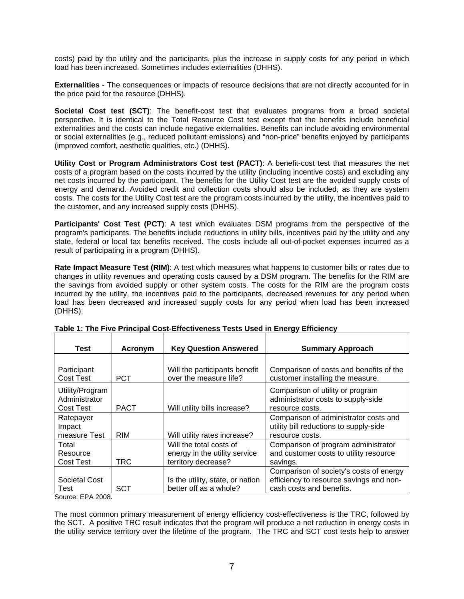costs) paid by the utility and the participants, plus the increase in supply costs for any period in which load has been increased. Sometimes includes externalities (DHHS).

**Externalities** - The consequences or impacts of resource decisions that are not directly accounted for in the price paid for the resource (DHHS).

**Societal Cost test (SCT)**: The benefit-cost test that evaluates programs from a broad societal perspective. It is identical to the Total Resource Cost test except that the benefits include beneficial externalities and the costs can include negative externalities. Benefits can include avoiding environmental or social externalities (e.g., reduced pollutant emissions) and "non-price" benefits enjoyed by participants (improved comfort, aesthetic qualities, etc.) (DHHS).

**Utility Cost or Program Administrators Cost test (PACT)**: A benefit-cost test that measures the net costs of a program based on the costs incurred by the utility (including incentive costs) and excluding any net costs incurred by the participant. The benefits for the Utility Cost test are the avoided supply costs of energy and demand. Avoided credit and collection costs should also be included, as they are system costs. The costs for the Utility Cost test are the program costs incurred by the utility, the incentives paid to the customer, and any increased supply costs (DHHS).

**Participants' Cost Test (PCT)**: A test which evaluates DSM programs from the perspective of the program's participants. The benefits include reductions in utility bills, incentives paid by the utility and any state, federal or local tax benefits received. The costs include all out-of-pocket expenses incurred as a result of participating in a program (DHHS).

**Rate Impact Measure Test (RIM)**: A test which measures what happens to customer bills or rates due to changes in utility revenues and operating costs caused by a DSM program. The benefits for the RIM are the savings from avoided supply or other system costs. The costs for the RIM are the program costs incurred by the utility, the incentives paid to the participants, decreased revenues for any period when load has been decreased and increased supply costs for any period when load has been increased (DHHS).

| <b>Test</b>                                          | Acronym     | <b>Key Question Answered</b>                                                    | <b>Summary Approach</b>                                                                                        |
|------------------------------------------------------|-------------|---------------------------------------------------------------------------------|----------------------------------------------------------------------------------------------------------------|
| Participant<br><b>Cost Test</b>                      | <b>PCT</b>  | Will the participants benefit<br>over the measure life?                         | Comparison of costs and benefits of the<br>customer installing the measure.                                    |
| Utility/Program<br>Administrator<br><b>Cost Test</b> | <b>PACT</b> | Will utility bills increase?                                                    | Comparison of utility or program<br>administrator costs to supply-side<br>resource costs.                      |
| Ratepayer<br>Impact<br>measure Test                  | <b>RIM</b>  | Will utility rates increase?                                                    | Comparison of administrator costs and<br>utility bill reductions to supply-side<br>resource costs.             |
| Total<br>Resource<br><b>Cost Test</b>                | <b>TRC</b>  | Will the total costs of<br>energy in the utility service<br>territory decrease? | Comparison of program administrator<br>and customer costs to utility resource<br>savings.                      |
| Societal Cost<br>Test<br>--                          | SCT         | Is the utility, state, or nation<br>better off as a whole?                      | Comparison of society's costs of energy<br>efficiency to resource savings and non-<br>cash costs and benefits. |

**Table 1: The Five Principal Cost-Effectiveness Tests Used in Energy Efficiency** 

Source: EPA 2008.

The most common primary measurement of energy efficiency cost-effectiveness is the TRC, followed by the SCT. A positive TRC result indicates that the program will produce a net reduction in energy costs in the utility service territory over the lifetime of the program. The TRC and SCT cost tests help to answer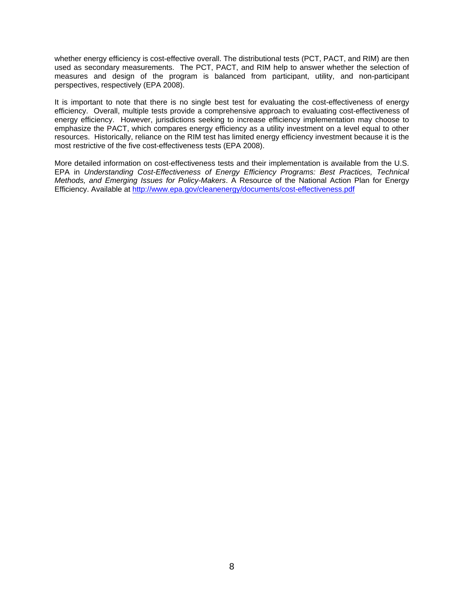whether energy efficiency is cost-effective overall. The distributional tests (PCT, PACT, and RIM) are then used as secondary measurements. The PCT, PACT, and RIM help to answer whether the selection of measures and design of the program is balanced from participant, utility, and non-participant perspectives, respectively (EPA 2008).

It is important to note that there is no single best test for evaluating the cost-effectiveness of energy efficiency. Overall, multiple tests provide a comprehensive approach to evaluating cost-effectiveness of energy efficiency. However, jurisdictions seeking to increase efficiency implementation may choose to emphasize the PACT, which compares energy efficiency as a utility investment on a level equal to other resources. Historically, reliance on the RIM test has limited energy efficiency investment because it is the most restrictive of the five cost-effectiveness tests (EPA 2008).

More detailed information on cost-effectiveness tests and their implementation is available from the U.S. EPA in *Understanding Cost-Effectiveness of Energy Efficiency Programs: Best Practices, Technical Methods, and Emerging Issues for Policy-Makers*. A Resource of the National Action Plan for Energy Efficiency. Available at <http://www.epa.gov/cleanenergy/documents/cost-effectiveness.pdf>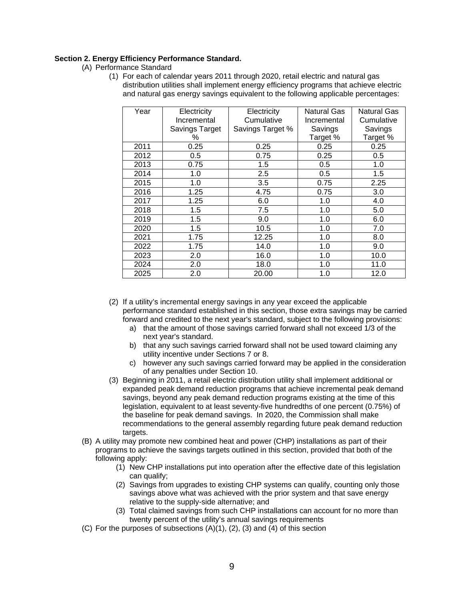#### <span id="page-8-0"></span>**Section 2. Energy Efficiency Performance Standard.**

- (A) Performance Standard
	- (1) For each of calendar years 2011 through 2020, retail electric and natural gas distribution utilities shall implement energy efficiency programs that achieve electric and natural gas energy savings equivalent to the following applicable percentages:

| Year | Electricity    | Electricity      | Natural Gas | <b>Natural Gas</b> |
|------|----------------|------------------|-------------|--------------------|
|      | Incremental    | Cumulative       | Incremental | Cumulative         |
|      | Savings Target | Savings Target % | Savings     | Savings            |
|      | %              |                  | Target %    | Target %           |
| 2011 | 0.25           | 0.25             | 0.25        | 0.25               |
| 2012 | 0.5            | 0.75             | 0.25        | 0.5                |
| 2013 | 0.75           | 1.5              | 0.5         | 1.0                |
| 2014 | 1.0            | 2.5              | 0.5         | 1.5                |
| 2015 | 1.0            | 3.5              | 0.75        | 2.25               |
| 2016 | 1.25           | 4.75             | 0.75        | 3.0                |
| 2017 | 1.25           | 6.0              | 1.0         | 4.0                |
| 2018 | 1.5            | 7.5              | 1.0         | 5.0                |
| 2019 | 1.5            | 9.0              | 1.0         | 6.0                |
| 2020 | 1.5            | 10.5             | 1.0         | 7.0                |
| 2021 | 1.75           | 12.25            | 1.0         | 8.0                |
| 2022 | 1.75           | 14.0             | 1.0         | 9.0                |
| 2023 | 2.0            | 16.0             | 1.0         | 10.0               |
| 2024 | 2.0            | 18.0             | 1.0         | 11.0               |
| 2025 | 2.0            | 20.00            | 1.0         | 12.0               |

- (2) If a utility's incremental energy savings in any year exceed the applicable performance standard established in this section, those extra savings may be carried forward and credited to the next year's standard, subject to the following provisions:
	- a) that the amount of those savings carried forward shall not exceed 1/3 of the next year's standard.
	- b) that any such savings carried forward shall not be used toward claiming any utility incentive under Sections 7 or 8.
	- c) however any such savings carried forward may be applied in the consideration of any penalties under Section 10.
- (3) Beginning in 2011, a retail electric distribution utility shall implement additional or expanded peak demand reduction programs that achieve incremental peak demand savings, beyond any peak demand reduction programs existing at the time of this legislation, equivalent to at least seventy-five hundredths of one percent (0.75%) of the baseline for peak demand savings. In 2020, the Commission shall make recommendations to the general assembly regarding future peak demand reduction targets.
- (B) A utility may promote new combined heat and power (CHP) installations as part of their programs to achieve the savings targets outlined in this section, provided that both of the following apply:
	- (1) New CHP installations put into operation after the effective date of this legislation can qualify;
	- (2) Savings from upgrades to existing CHP systems can qualify, counting only those savings above what was achieved with the prior system and that save energy relative to the supply-side alternative; and
	- (3) Total claimed savings from such CHP installations can account for no more than twenty percent of the utility's annual savings requirements
- (C) For the purposes of subsections  $(A)(1)$ ,  $(2)$ ,  $(3)$  and  $(4)$  of this section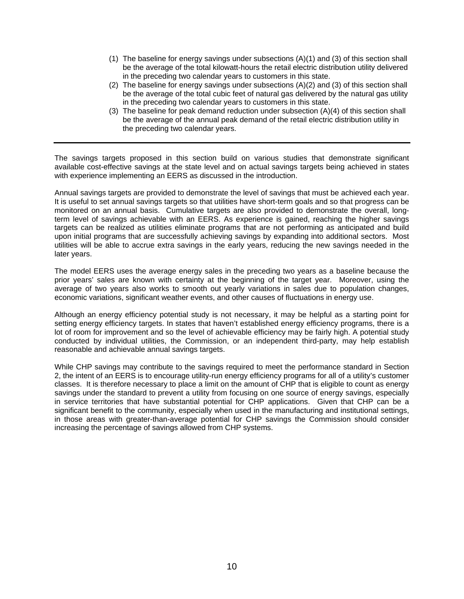- (1) The baseline for energy savings under subsections (A)(1) and (3) of this section shall be the average of the total kilowatt-hours the retail electric distribution utility delivered in the preceding two calendar years to customers in this state.
- (2) The baseline for energy savings under subsections (A)(2) and (3) of this section shall be the average of the total cubic feet of natural gas delivered by the natural gas utility in the preceding two calendar years to customers in this state.
- (3) The baseline for peak demand reduction under subsection (A)(4) of this section shall be the average of the annual peak demand of the retail electric distribution utility in the preceding two calendar years.

The savings targets proposed in this section build on various studies that demonstrate significant available cost-effective savings at the state level and on actual savings targets being achieved in states with experience implementing an EERS as discussed in the introduction.

Annual savings targets are provided to demonstrate the level of savings that must be achieved each year. It is useful to set annual savings targets so that utilities have short-term goals and so that progress can be monitored on an annual basis. Cumulative targets are also provided to demonstrate the overall, longterm level of savings achievable with an EERS. As experience is gained, reaching the higher savings targets can be realized as utilities eliminate programs that are not performing as anticipated and build upon initial programs that are successfully achieving savings by expanding into additional sectors. Most utilities will be able to accrue extra savings in the early years, reducing the new savings needed in the later years.

The model EERS uses the average energy sales in the preceding two years as a baseline because the prior years' sales are known with certainty at the beginning of the target year. Moreover, using the average of two years also works to smooth out yearly variations in sales due to population changes, economic variations, significant weather events, and other causes of fluctuations in energy use.

Although an energy efficiency potential study is not necessary, it may be helpful as a starting point for setting energy efficiency targets. In states that haven't established energy efficiency programs, there is a lot of room for improvement and so the level of achievable efficiency may be fairly high. A potential study conducted by individual utilities, the Commission, or an independent third-party, may help establish reasonable and achievable annual savings targets.

While CHP savings may contribute to the savings required to meet the performance standard in Section 2, the intent of an EERS is to encourage utility-run energy efficiency programs for all of a utility's customer classes. It is therefore necessary to place a limit on the amount of CHP that is eligible to count as energy savings under the standard to prevent a utility from focusing on one source of energy savings, especially in service territories that have substantial potential for CHP applications. Given that CHP can be a significant benefit to the community, especially when used in the manufacturing and institutional settings, in those areas with greater-than-average potential for CHP savings the Commission should consider increasing the percentage of savings allowed from CHP systems.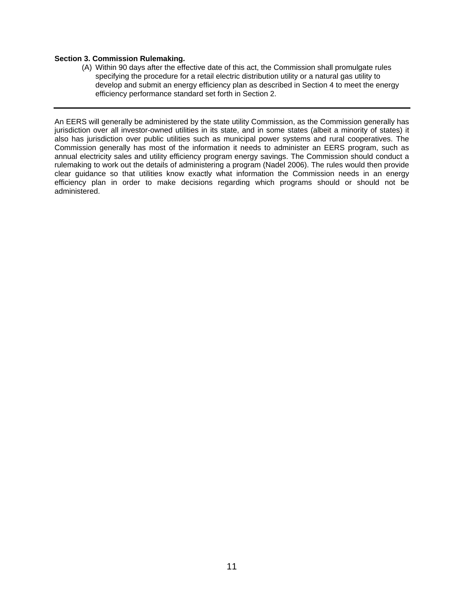#### <span id="page-10-0"></span>**Section 3. Commission Rulemaking.**

(A) Within 90 days after the effective date of this act, the Commission shall promulgate rules specifying the procedure for a retail electric distribution utility or a natural gas utility to develop and submit an energy efficiency plan as described in Section 4 to meet the energy efficiency performance standard set forth in Section 2.

An EERS will generally be administered by the state utility Commission, as the Commission generally has jurisdiction over all investor-owned utilities in its state, and in some states (albeit a minority of states) it also has jurisdiction over public utilities such as municipal power systems and rural cooperatives. The Commission generally has most of the information it needs to administer an EERS program, such as annual electricity sales and utility efficiency program energy savings. The Commission should conduct a rulemaking to work out the details of administering a program (Nadel 2006). The rules would then provide clear guidance so that utilities know exactly what information the Commission needs in an energy efficiency plan in order to make decisions regarding which programs should or should not be administered.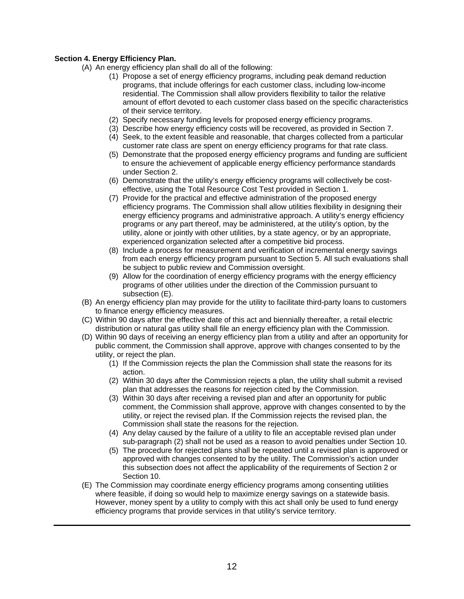#### <span id="page-11-0"></span>**Section 4. Energy Efficiency Plan.**

- (A) An energy efficiency plan shall do all of the following:
	- (1) Propose a set of energy efficiency programs, including peak demand reduction programs, that include offerings for each customer class, including low-income residential. The Commission shall allow providers flexibility to tailor the relative amount of effort devoted to each customer class based on the specific characteristics of their service territory.
	- (2) Specify necessary funding levels for proposed energy efficiency programs.
	- (3) Describe how energy efficiency costs will be recovered, as provided in Section 7.
	- (4) Seek, to the extent feasible and reasonable, that charges collected from a particular customer rate class are spent on energy efficiency programs for that rate class.
	- (5) Demonstrate that the proposed energy efficiency programs and funding are sufficient to ensure the achievement of applicable energy efficiency performance standards under Section 2.
	- (6) Demonstrate that the utility's energy efficiency programs will collectively be costeffective, using the Total Resource Cost Test provided in Section 1.
	- (7) Provide for the practical and effective administration of the proposed energy efficiency programs. The Commission shall allow utilities flexibility in designing their energy efficiency programs and administrative approach. A utility's energy efficiency programs or any part thereof, may be administered, at the utility's option, by the utility, alone or jointly with other utilities, by a state agency, or by an appropriate, experienced organization selected after a competitive bid process.
	- (8) Include a process for measurement and verification of incremental energy savings from each energy efficiency program pursuant to Section 5. All such evaluations shall be subject to public review and Commission oversight.
	- (9) Allow for the coordination of energy efficiency programs with the energy efficiency programs of other utilities under the direction of the Commission pursuant to subsection  $(E)$ .
- (B) An energy efficiency plan may provide for the utility to facilitate third-party loans to customers to finance energy efficiency measures.
- (C) Within 90 days after the effective date of this act and biennially thereafter, a retail electric distribution or natural gas utility shall file an energy efficiency plan with the Commission.
- (D) Within 90 days of receiving an energy efficiency plan from a utility and after an opportunity for public comment, the Commission shall approve, approve with changes consented to by the utility, or reject the plan.
	- (1) If the Commission rejects the plan the Commission shall state the reasons for its action.
	- (2) Within 30 days after the Commission rejects a plan, the utility shall submit a revised plan that addresses the reasons for rejection cited by the Commission.
	- (3) Within 30 days after receiving a revised plan and after an opportunity for public comment, the Commission shall approve, approve with changes consented to by the utility, or reject the revised plan. If the Commission rejects the revised plan, the Commission shall state the reasons for the rejection.
	- (4) Any delay caused by the failure of a utility to file an acceptable revised plan under sub-paragraph (2) shall not be used as a reason to avoid penalties under Section 10.
	- (5) The procedure for rejected plans shall be repeated until a revised plan is approved or approved with changes consented to by the utility. The Commission's action under this subsection does not affect the applicability of the requirements of Section 2 or Section 10.
- (E) The Commission may coordinate energy efficiency programs among consenting utilities where feasible, if doing so would help to maximize energy savings on a statewide basis. However, money spent by a utility to comply with this act shall only be used to fund energy efficiency programs that provide services in that utility's service territory.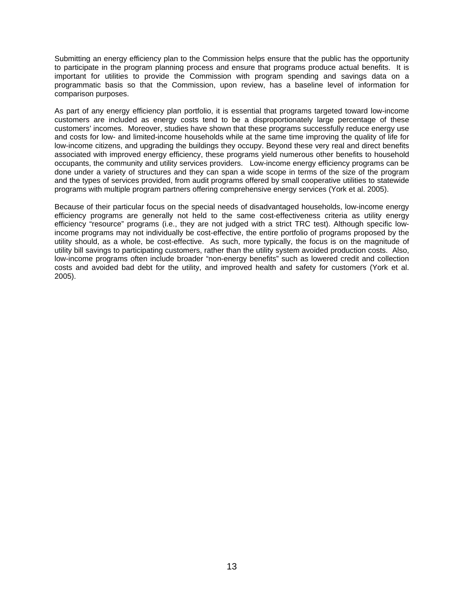Submitting an energy efficiency plan to the Commission helps ensure that the public has the opportunity to participate in the program planning process and ensure that programs produce actual benefits. It is important for utilities to provide the Commission with program spending and savings data on a programmatic basis so that the Commission, upon review, has a baseline level of information for comparison purposes.

As part of any energy efficiency plan portfolio, it is essential that programs targeted toward low-income customers are included as energy costs tend to be a disproportionately large percentage of these customers' incomes. Moreover, studies have shown that these programs successfully reduce energy use and costs for low- and limited-income households while at the same time improving the quality of life for low-income citizens, and upgrading the buildings they occupy. Beyond these very real and direct benefits associated with improved energy efficiency, these programs yield numerous other benefits to household occupants, the community and utility services providers. Low-income energy efficiency programs can be done under a variety of structures and they can span a wide scope in terms of the size of the program and the types of services provided, from audit programs offered by small cooperative utilities to statewide programs with multiple program partners offering comprehensive energy services (York et al. 2005).

Because of their particular focus on the special needs of disadvantaged households, low-income energy efficiency programs are generally not held to the same cost-effectiveness criteria as utility energy efficiency "resource" programs (i.e., they are not judged with a strict TRC test). Although specific lowincome programs may not individually be cost-effective, the entire portfolio of programs proposed by the utility should, as a whole, be cost-effective. As such, more typically, the focus is on the magnitude of utility bill savings to participating customers, rather than the utility system avoided production costs. Also, low-income programs often include broader "non-energy benefits" such as lowered credit and collection costs and avoided bad debt for the utility, and improved health and safety for customers (York et al. 2005).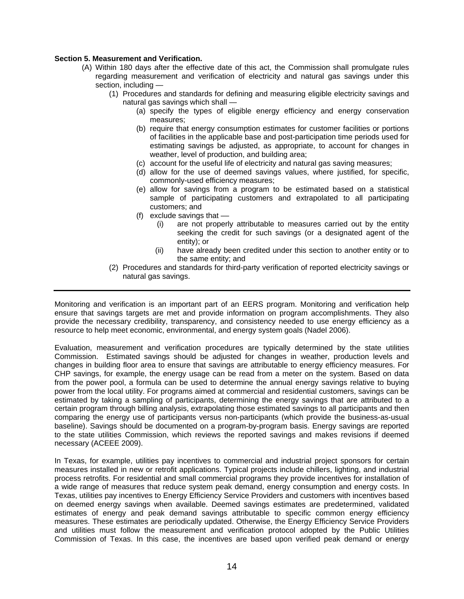#### <span id="page-13-0"></span>**Section 5. Measurement and Verification.**

- (A) Within 180 days after the effective date of this act, the Commission shall promulgate rules regarding measurement and verification of electricity and natural gas savings under this section, including —
	- (1) Procedures and standards for defining and measuring eligible electricity savings and natural gas savings which shall —
		- (a) specify the types of eligible energy efficiency and energy conservation measures;
		- (b) require that energy consumption estimates for customer facilities or portions of facilities in the applicable base and post-participation time periods used for estimating savings be adjusted, as appropriate, to account for changes in weather, level of production, and building area;
		- (c) account for the useful life of electricity and natural gas saving measures;
		- (d) allow for the use of deemed savings values, where justified, for specific, commonly-used efficiency measures;
		- (e) allow for savings from a program to be estimated based on a statistical sample of participating customers and extrapolated to all participating customers; and
		- (f) exclude savings that  $-$ 
			- (i) are not properly attributable to measures carried out by the entity seeking the credit for such savings (or a designated agent of the entity); or
			- (ii) have already been credited under this section to another entity or to the same entity; and
	- (2) Procedures and standards for third-party verification of reported electricity savings or natural gas savings.

Monitoring and verification is an important part of an EERS program. Monitoring and verification help ensure that savings targets are met and provide information on program accomplishments. They also provide the necessary credibility, transparency, and consistency needed to use energy efficiency as a resource to help meet economic, environmental, and energy system goals (Nadel 2006).

Evaluation, measurement and verification procedures are typically determined by the state utilities Commission. Estimated savings should be adjusted for changes in weather, production levels and changes in building floor area to ensure that savings are attributable to energy efficiency measures. For CHP savings, for example, the energy usage can be read from a meter on the system. Based on data from the power pool, a formula can be used to determine the annual energy savings relative to buying power from the local utility. For programs aimed at commercial and residential customers, savings can be estimated by taking a sampling of participants, determining the energy savings that are attributed to a certain program through billing analysis, extrapolating those estimated savings to all participants and then comparing the energy use of participants versus non-participants (which provide the business-as-usual baseline). Savings should be documented on a program-by-program basis. Energy savings are reported to the state utilities Commission, which reviews the reported savings and makes revisions if deemed necessary (ACEEE 2009).

In Texas, for example, utilities pay incentives to commercial and industrial project sponsors for certain measures installed in new or retrofit applications. Typical projects include chillers, lighting, and industrial process retrofits. For residential and small commercial programs they provide incentives for installation of a wide range of measures that reduce system peak demand, energy consumption and energy costs. In Texas, utilities pay incentives to Energy Efficiency Service Providers and customers with incentives based on deemed energy savings when available. Deemed savings estimates are predetermined, validated estimates of energy and peak demand savings attributable to specific common energy efficiency measures. These estimates are periodically updated. Otherwise, the Energy Efficiency Service Providers and utilities must follow the measurement and verification protocol adopted by the Public Utilities Commission of Texas. In this case, the incentives are based upon verified peak demand or energy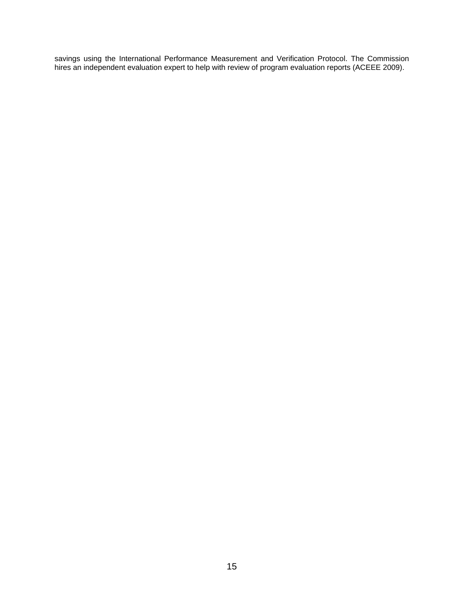savings using the International Performance Measurement and Verification Protocol. The Commission hires an independent evaluation expert to help with review of program evaluation reports (ACEEE 2009).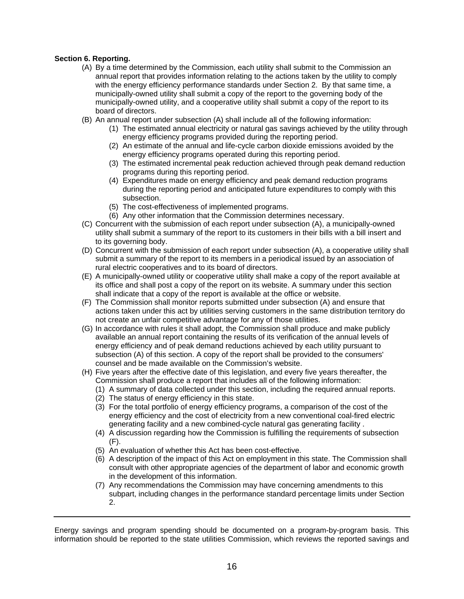#### <span id="page-15-0"></span>**Section 6. Reporting.**

- (A) By a time determined by the Commission, each utility shall submit to the Commission an annual report that provides information relating to the actions taken by the utility to comply with the energy efficiency performance standards under Section 2. By that same time, a municipally-owned utility shall submit a copy of the report to the governing body of the municipally-owned utility, and a cooperative utility shall submit a copy of the report to its board of directors.
- (B) An annual report under subsection (A) shall include all of the following information:
	- (1) The estimated annual electricity or natural gas savings achieved by the utility through energy efficiency programs provided during the reporting period.
	- (2) An estimate of the annual and life-cycle carbon dioxide emissions avoided by the energy efficiency programs operated during this reporting period.
	- (3) The estimated incremental peak reduction achieved through peak demand reduction programs during this reporting period.
	- (4) Expenditures made on energy efficiency and peak demand reduction programs during the reporting period and anticipated future expenditures to comply with this subsection.
	- (5) The cost-effectiveness of implemented programs.
	- (6) Any other information that the Commission determines necessary.
- (C) Concurrent with the submission of each report under subsection (A), a municipally-owned utility shall submit a summary of the report to its customers in their bills with a bill insert and to its governing body.
- (D) Concurrent with the submission of each report under subsection (A), a cooperative utility shall submit a summary of the report to its members in a periodical issued by an association of rural electric cooperatives and to its board of directors.
- (E) A municipally-owned utility or cooperative utility shall make a copy of the report available at its office and shall post a copy of the report on its website. A summary under this section shall indicate that a copy of the report is available at the office or website.
- (F) The Commission shall monitor reports submitted under subsection (A) and ensure that actions taken under this act by utilities serving customers in the same distribution territory do not create an unfair competitive advantage for any of those utilities.
- (G) In accordance with rules it shall adopt, the Commission shall produce and make publicly available an annual report containing the results of its verification of the annual levels of energy efficiency and of peak demand reductions achieved by each utility pursuant to subsection (A) of this section. A copy of the report shall be provided to the consumers' counsel and be made available on the Commission's website.
- (H) Five years after the effective date of this legislation, and every five years thereafter, the Commission shall produce a report that includes all of the following information:
	- (1) A summary of data collected under this section, including the required annual reports.
	- (2) The status of energy efficiency in this state.
	- (3) For the total portfolio of energy efficiency programs, a comparison of the cost of the energy efficiency and the cost of electricity from a new conventional coal-fired electric generating facility and a new combined-cycle natural gas generating facility .
	- (4) A discussion regarding how the Commission is fulfilling the requirements of subsection (F).
	- (5) An evaluation of whether this Act has been cost-effective.
	- (6) A description of the impact of this Act on employment in this state. The Commission shall consult with other appropriate agencies of the department of labor and economic growth in the development of this information.
	- (7) Any recommendations the Commission may have concerning amendments to this subpart, including changes in the performance standard percentage limits under Section 2.

Energy savings and program spending should be documented on a program-by-program basis. This information should be reported to the state utilities Commission, which reviews the reported savings and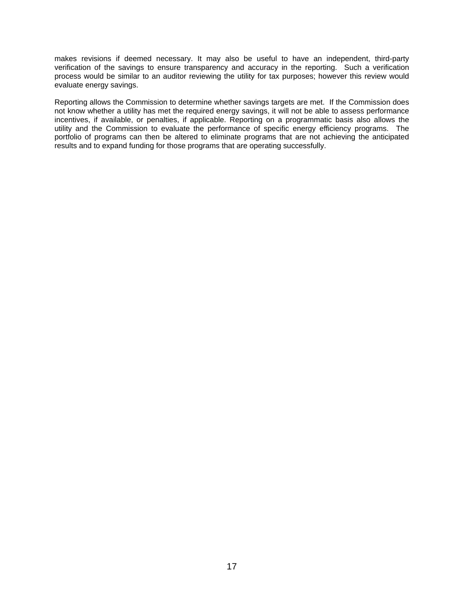makes revisions if deemed necessary. It may also be useful to have an independent, third-party verification of the savings to ensure transparency and accuracy in the reporting. Such a verification process would be similar to an auditor reviewing the utility for tax purposes; however this review would evaluate energy savings.

Reporting allows the Commission to determine whether savings targets are met. If the Commission does not know whether a utility has met the required energy savings, it will not be able to assess performance incentives, if available, or penalties, if applicable. Reporting on a programmatic basis also allows the utility and the Commission to evaluate the performance of specific energy efficiency programs. The portfolio of programs can then be altered to eliminate programs that are not achieving the anticipated results and to expand funding for those programs that are operating successfully.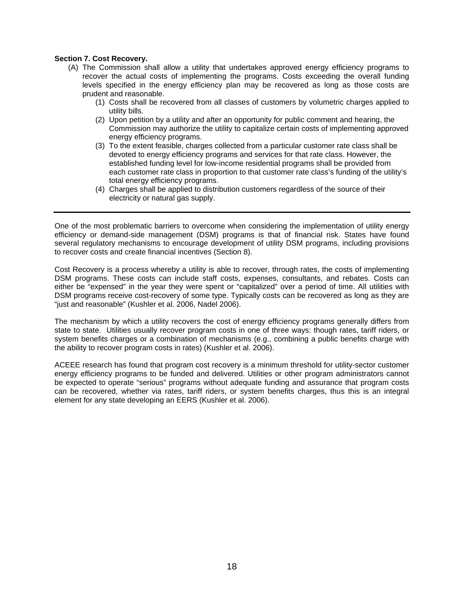#### <span id="page-17-0"></span>**Section 7. Cost Recovery.**

- (A) The Commission shall allow a utility that undertakes approved energy efficiency programs to recover the actual costs of implementing the programs. Costs exceeding the overall funding levels specified in the energy efficiency plan may be recovered as long as those costs are prudent and reasonable.
	- (1) Costs shall be recovered from all classes of customers by volumetric charges applied to utility bills.
	- (2) Upon petition by a utility and after an opportunity for public comment and hearing, the Commission may authorize the utility to capitalize certain costs of implementing approved energy efficiency programs.
	- (3) To the extent feasible, charges collected from a particular customer rate class shall be devoted to energy efficiency programs and services for that rate class. However, the established funding level for low-income residential programs shall be provided from each customer rate class in proportion to that customer rate class's funding of the utility's total energy efficiency programs.
	- (4) Charges shall be applied to distribution customers regardless of the source of their electricity or natural gas supply.

One of the most problematic barriers to overcome when considering the implementation of utility energy efficiency or demand-side management (DSM) programs is that of financial risk. States have found several regulatory mechanisms to encourage development of utility DSM programs, including provisions to recover costs and create financial incentives (Section 8).

Cost Recovery is a process whereby a utility is able to recover, through rates, the costs of implementing DSM programs. These costs can include staff costs, expenses, consultants, and rebates. Costs can either be "expensed" in the year they were spent or "capitalized" over a period of time. All utilities with DSM programs receive cost-recovery of some type. Typically costs can be recovered as long as they are "just and reasonable" (Kushler et al. 2006, Nadel 2006).

The mechanism by which a utility recovers the cost of energy efficiency programs generally differs from state to state. Utilities usually recover program costs in one of three ways: though rates, tariff riders, or system benefits charges or a combination of mechanisms (e.g., combining a public benefits charge with the ability to recover program costs in rates) (Kushler et al. 2006).

ACEEE research has found that program cost recovery is a minimum threshold for utility-sector customer energy efficiency programs to be funded and delivered. Utilities or other program administrators cannot be expected to operate "serious" programs without adequate funding and assurance that program costs can be recovered, whether via rates, tariff riders, or system benefits charges, thus this is an integral element for any state developing an EERS (Kushler et al. 2006).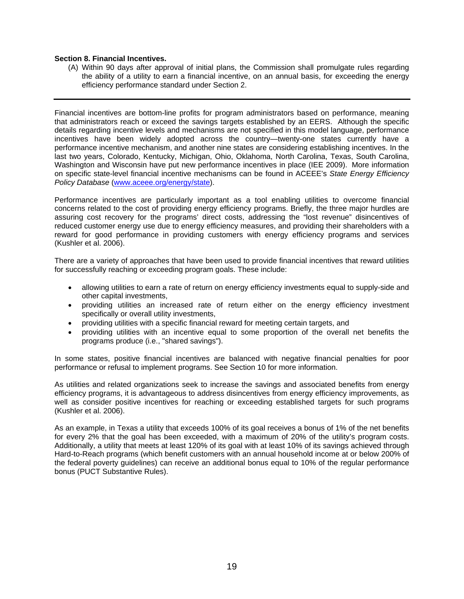#### <span id="page-18-0"></span>**Section 8. Financial Incentives.**

(A) Within 90 days after approval of initial plans, the Commission shall promulgate rules regarding the ability of a utility to earn a financial incentive, on an annual basis, for exceeding the energy efficiency performance standard under Section 2.

Financial incentives are bottom-line profits for program administrators based on performance, meaning that administrators reach or exceed the savings targets established by an EERS. Although the specific details regarding incentive levels and mechanisms are not specified in this model language, performance incentives have been widely adopted across the country—twenty-one states currently have a performance incentive mechanism, and another nine states are considering establishing incentives. In the last two years, Colorado, Kentucky, Michigan, Ohio, Oklahoma, North Carolina, Texas, South Carolina, Washington and Wisconsin have put new performance incentives in place (IEE 2009). More information on specific state-level financial incentive mechanisms can be found in ACEEE's *State Energy Efficiency Policy Database* [\(www.aceee.org/energy/state](http://www.aceee.org/energy/state)).

Performance incentives are particularly important as a tool enabling utilities to overcome financial concerns related to the cost of providing energy efficiency programs. Briefly, the three major hurdles are assuring cost recovery for the programs' direct costs, addressing the "lost revenue" disincentives of reduced customer energy use due to energy efficiency measures, and providing their shareholders with a reward for good performance in providing customers with energy efficiency programs and services (Kushler et al. 2006).

There are a variety of approaches that have been used to provide financial incentives that reward utilities for successfully reaching or exceeding program goals. These include:

- allowing utilities to earn a rate of return on energy efficiency investments equal to supply-side and other capital investments,
- providing utilities an increased rate of return either on the energy efficiency investment specifically or overall utility investments,
- providing utilities with a specific financial reward for meeting certain targets, and
- providing utilities with an incentive equal to some proportion of the overall net benefits the programs produce (i.e., "shared savings").

In some states, positive financial incentives are balanced with negative financial penalties for poor performance or refusal to implement programs. See Section 10 for more information.

As utilities and related organizations seek to increase the savings and associated benefits from energy efficiency programs, it is advantageous to address disincentives from energy efficiency improvements, as well as consider positive incentives for reaching or exceeding established targets for such programs (Kushler et al. 2006).

As an example, in Texas a utility that exceeds 100% of its goal receives a bonus of 1% of the net benefits for every 2% that the goal has been exceeded, with a maximum of 20% of the utility's program costs. Additionally, a utility that meets at least 120% of its goal with at least 10% of its savings achieved through Hard-to-Reach programs (which benefit customers with an annual household income at or below 200% of the federal poverty guidelines) can receive an additional bonus equal to 10% of the regular performance bonus (PUCT Substantive Rules).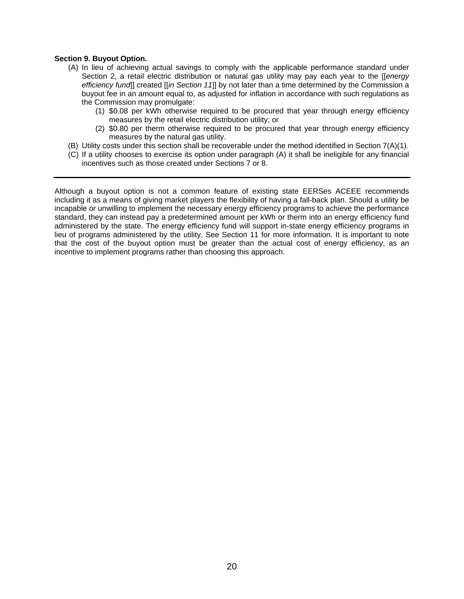#### <span id="page-19-0"></span>**Section 9. Buyout Option.**

- (A) In lieu of achieving actual savings to comply with the applicable performance standard under Section 2, a retail electric distribution or natural gas utility may pay each year to the [[*energy efficiency fund*]] created [[*in Section 11*]] by not later than a time determined by the Commission a buyout fee in an amount equal to, as adjusted for inflation in accordance with such regulations as the Commission may promulgate:
	- (1) \$0.08 per kWh otherwise required to be procured that year through energy efficiency measures by the retail electric distribution utility; or
	- (2) \$0.80 per therm otherwise required to be procured that year through energy efficiency measures by the natural gas utility.
- (B) Utility costs under this section shall be recoverable under the method identified in Section 7(A)(1).
- (C) If a utility chooses to exercise its option under paragraph (A) it shall be ineligible for any financial incentives such as those created under Sections 7 or 8.

Although a buyout option is not a common feature of existing state EERSes ACEEE recommends including it as a means of giving market players the flexibility of having a fall-back plan. Should a utility be incapable or unwilling to implement the necessary energy efficiency programs to achieve the performance standard, they can instead pay a predetermined amount per kWh or therm into an energy efficiency fund administered by the state. The energy efficiency fund will support in-state energy efficiency programs in lieu of programs administered by the utility. See Section 11 for more information. It is important to note that the cost of the buyout option must be greater than the actual cost of energy efficiency, as an incentive to implement programs rather than choosing this approach.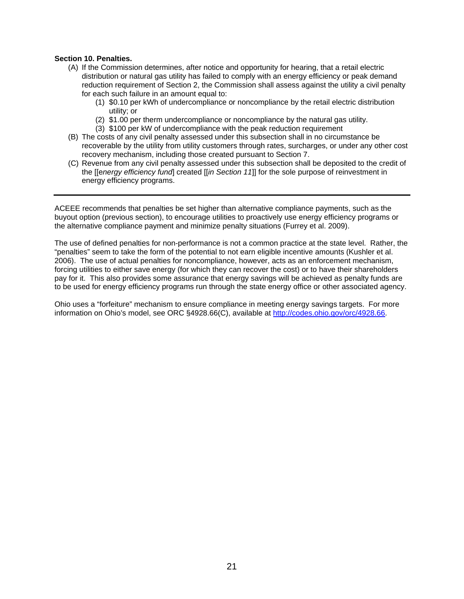#### <span id="page-20-0"></span>**Section 10. Penalties.**

- (A) If the Commission determines, after notice and opportunity for hearing, that a retail electric distribution or natural gas utility has failed to comply with an energy efficiency or peak demand reduction requirement of Section 2, the Commission shall assess against the utility a civil penalty for each such failure in an amount equal to:
	- (1) \$0.10 per kWh of undercompliance or noncompliance by the retail electric distribution utility; or
	- (2) \$1.00 per therm undercompliance or noncompliance by the natural gas utility.
	- (3) \$100 per kW of undercompliance with the peak reduction requirement
- (B) The costs of any civil penalty assessed under this subsection shall in no circumstance be recoverable by the utility from utility customers through rates, surcharges, or under any other cost recovery mechanism, including those created pursuant to Section 7.
- (C) Revenue from any civil penalty assessed under this subsection shall be deposited to the credit of the [[e*nergy efficiency fund*] created [[*in Section 11*]] for the sole purpose of reinvestment in energy efficiency programs.

ACEEE recommends that penalties be set higher than alternative compliance payments, such as the buyout option (previous section), to encourage utilities to proactively use energy efficiency programs or the alternative compliance payment and minimize penalty situations (Furrey et al. 2009).

The use of defined penalties for non-performance is not a common practice at the state level. Rather, the "penalties" seem to take the form of the potential to not earn eligible incentive amounts (Kushler et al. 2006). The use of actual penalties for noncompliance, however, acts as an enforcement mechanism, forcing utilities to either save energy (for which they can recover the cost) or to have their shareholders pay for it. This also provides some assurance that energy savings will be achieved as penalty funds are to be used for energy efficiency programs run through the state energy office or other associated agency.

Ohio uses a "forfeiture" mechanism to ensure compliance in meeting energy savings targets. For more information on Ohio's model, see ORC §4928.66(C), available at<http://codes.ohio.gov/orc/4928.66>.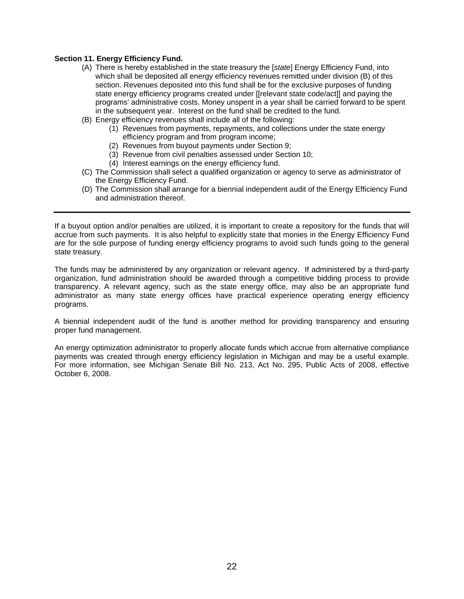#### <span id="page-21-0"></span>**Section 11. Energy Efficiency Fund.**

- (A) There is hereby established in the state treasury the [*state*] Energy Efficiency Fund, into which shall be deposited all energy efficiency revenues remitted under division (B) of this section. Revenues deposited into this fund shall be for the exclusive purposes of funding state energy efficiency programs created under [[relevant state code/act]] and paying the programs' administrative costs. Money unspent in a year shall be carried forward to be spent in the subsequent year. Interest on the fund shall be credited to the fund.
- (B) Energy efficiency revenues shall include all of the following:
	- (1) Revenues from payments, repayments, and collections under the state energy efficiency program and from program income;
	- (2) Revenues from buyout payments under Section 9;
	- (3) Revenue from civil penalties assessed under Section 10;
	- (4) Interest earnings on the energy efficiency fund.
- (C) The Commission shall select a qualified organization or agency to serve as administrator of the Energy Efficiency Fund.
- (D) The Commission shall arrange for a biennial independent audit of the Energy Efficiency Fund and administration thereof.

If a buyout option and/or penalties are utilized, it is important to create a repository for the funds that will accrue from such payments. It is also helpful to explicitly state that monies in the Energy Efficiency Fund are for the sole purpose of funding energy efficiency programs to avoid such funds going to the general state treasury.

The funds may be administered by any organization or relevant agency. If administered by a third-party organization, fund administration should be awarded through a competitive bidding process to provide transparency. A relevant agency, such as the state energy office, may also be an appropriate fund administrator as many state energy offices have practical experience operating energy efficiency programs.

A biennial independent audit of the fund is another method for providing transparency and ensuring proper fund management.

An energy optimization administrator to properly allocate funds which accrue from alternative compliance payments was created through energy efficiency legislation in Michigan and may be a useful example. For more information, see Michigan Senate Bill No. 213, Act No. 295, Public Acts of 2008, effective October 6, 2008.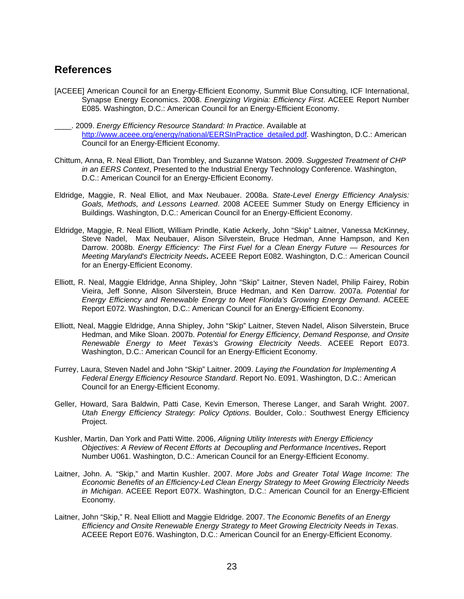### <span id="page-22-0"></span>**References**

- [ACEEE] American Council for an Energy-Efficient Economy, Summit Blue Consulting, ICF International, Synapse Energy Economics. 2008. *Energizing Virginia: Efficiency First*. ACEEE Report Number E085. Washington, D.C.: American Council for an Energy-Efficient Economy.
- \_\_\_\_. 2009. *Energy Efficiency Resource Standard: In Practice*. Available at [http://www.aceee.org/energy/national/EERSInPractice\\_detailed.pdf.](http://www.aceee.org/energy/national/EERSInPractice_detailed.pdf) Washington, D.C.: American Council for an Energy-Efficient Economy.
- Chittum, Anna, R. Neal Elliott, Dan Trombley, and Suzanne Watson. 2009. *Suggested Treatment of CHP in an EERS Context*, Presented to the Industrial Energy Technology Conference. Washington, D.C.: American Council for an Energy-Efficient Economy.
- Eldridge, Maggie, R. Neal Elliot, and Max Neubauer. 2008a. *State-Level Energy Efficiency Analysis: Goals, Methods, and Lessons Learned*. 2008 ACEEE Summer Study on Energy Efficiency in Buildings. Washington, D.C.: American Council for an Energy-Efficient Economy.
- Eldridge, Maggie, R. Neal Elliott, William Prindle, Katie Ackerly, John "Skip" Laitner, Vanessa McKinney, Steve Nadel, Max Neubauer, Alison Silverstein, Bruce Hedman, Anne Hampson, and Ken Darrow. 2008b. *Energy Efficiency: The First Fuel for a Clean Energy Future — Resources for Meeting Maryland's Electricity Needs***.** ACEEE Report E082. Washington, D.C.: American Council for an Energy-Efficient Economy.
- Elliott, R. Neal, Maggie Eldridge, Anna Shipley, John "Skip" Laitner, Steven Nadel, Philip Fairey, Robin Vieira, Jeff Sonne, Alison Silverstein, Bruce Hedman, and Ken Darrow. 2007a. *Potential for Energy Efficiency and Renewable Energy to Meet Florida's Growing Energy Demand*. ACEEE Report E072. Washington, D.C.: American Council for an Energy-Efficient Economy.
- Elliott, Neal, Maggie Eldridge, Anna Shipley, John "Skip" Laitner, Steven Nadel, Alison Silverstein, Bruce Hedman, and Mike Sloan. 2007b. *Potential for Energy Efficiency, Demand Response, and Onsite Renewable Energy to Meet Texas's Growing Electricity Needs*. ACEEE Report E073. Washington, D.C.: American Council for an Energy-Efficient Economy.
- Furrey, Laura, Steven Nadel and John "Skip" Laitner. 2009. *Laying the Foundation for Implementing A Federal Energy Efficiency Resource Standard*. Report No. E091. Washington, D.C.: American Council for an Energy-Efficient Economy.
- Geller, Howard, Sara Baldwin, Patti Case, Kevin Emerson, Therese Langer, and Sarah Wright. 2007. *Utah Energy Efficiency Strategy: Policy Options*. Boulder, Colo.: Southwest Energy Efficiency Project.
- Kushler, Martin, Dan York and Patti Witte. 2006, *Aligning Utility Interests with Energy Efficiency Objectives: A Review of Recent Efforts at Decoupling and Performance Incentives***.** Report Number U061. Washington, D.C.: American Council for an Energy-Efficient Economy.
- Laitner, John. A. "Skip," and Martin Kushler. 2007. *More Jobs and Greater Total Wage Income: The Economic Benefits of an Efficiency-Led Clean Energy Strategy to Meet Growing Electricity Needs in Michigan*. ACEEE Report E07X. Washington, D.C.: American Council for an Energy-Efficient Economy.
- Laitner, John "Skip," R. Neal Elliott and Maggie Eldridge. 2007. T*he Economic Benefits of an Energy Efficiency and Onsite Renewable Energy Strategy to Meet Growing Electricity Needs in Texas*. ACEEE Report E076. Washington, D.C.: American Council for an Energy-Efficient Economy.